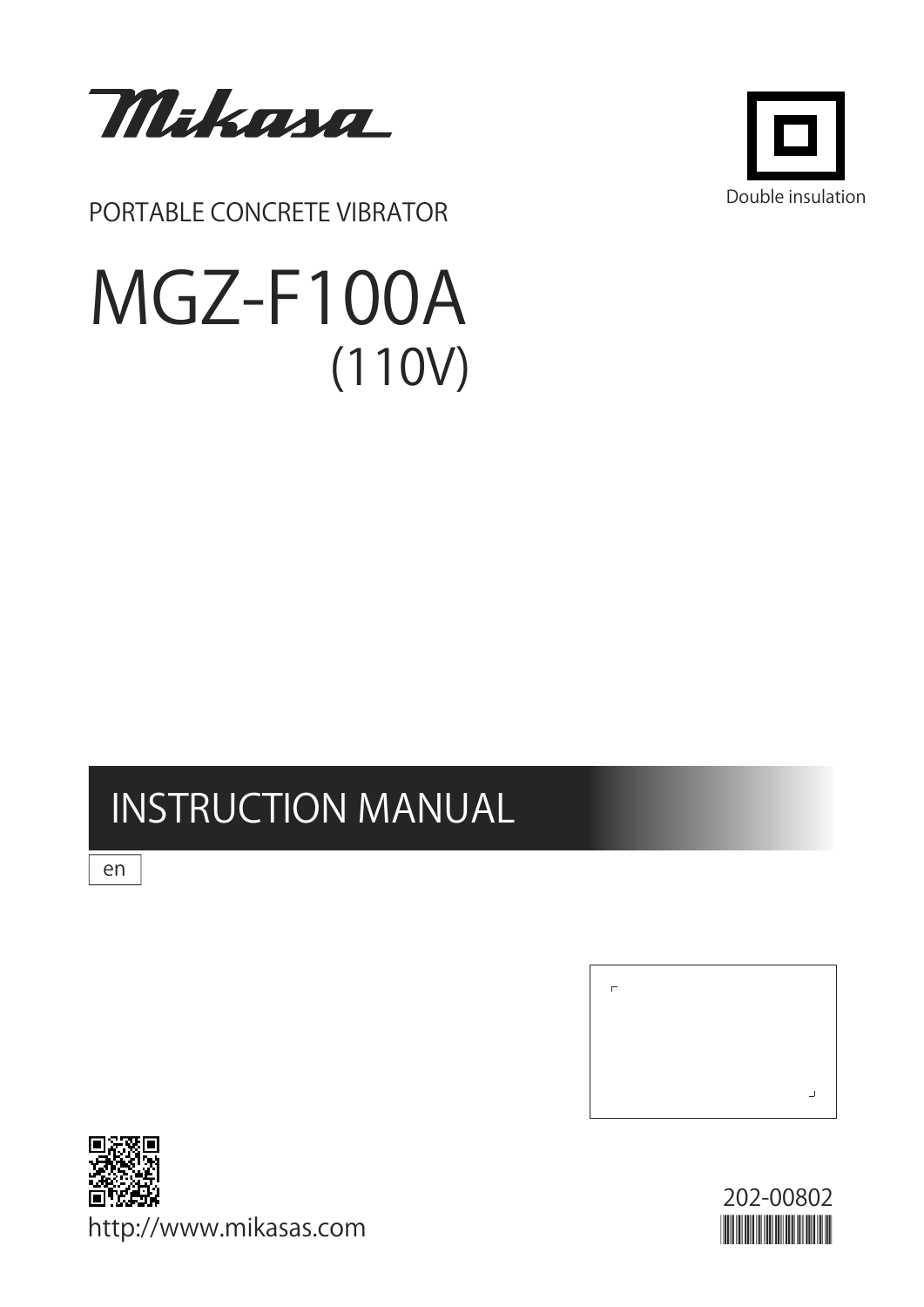

PORTABLE CONCRETE VIBRATOR

# MGZ-F100A  $(110V)$



# **INSTRUCTION MANUAL**

en



http://www.mikasas.com

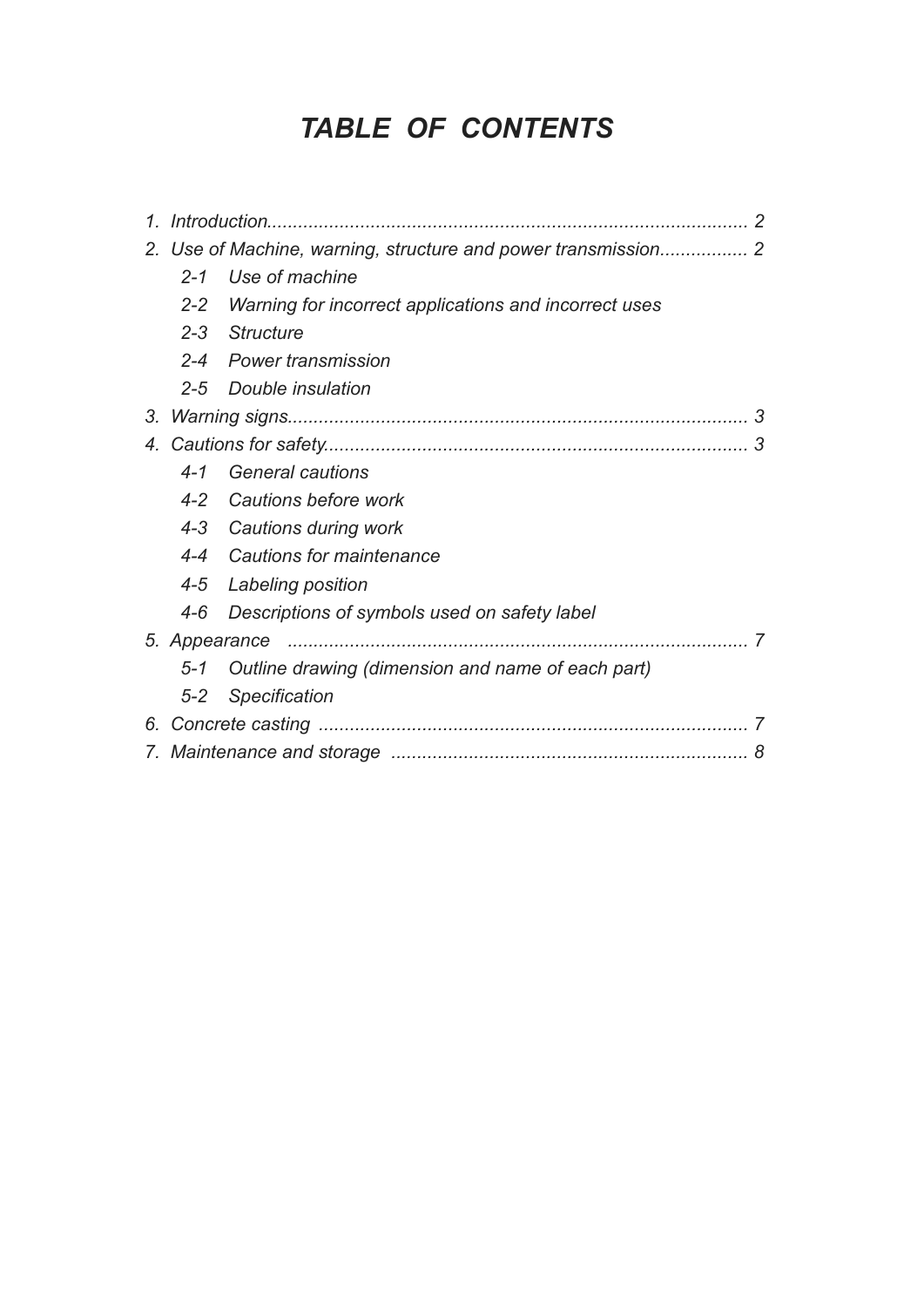# *TABLE OF CONTENTS*

| 1. |         |                                                           |  |
|----|---------|-----------------------------------------------------------|--|
|    |         |                                                           |  |
|    | $2 - 1$ | Use of machine                                            |  |
|    |         | 2-2 Warning for incorrect applications and incorrect uses |  |
|    |         | 2-3 Structure                                             |  |
|    |         | 2-4 Power transmission                                    |  |
|    | $2 - 5$ | Double insulation                                         |  |
| 3. |         |                                                           |  |
|    |         | 3                                                         |  |
|    | $4 - 1$ | <b>General cautions</b>                                   |  |
|    |         | 4-2 Cautions before work                                  |  |
|    |         | 4-3 Cautions during work                                  |  |
|    |         | 4-4 Cautions for maintenance                              |  |
|    |         | 4-5 Labeling position                                     |  |
|    | $4 - 6$ | Descriptions of symbols used on safety label              |  |
|    |         | 7                                                         |  |
|    | $5 - 1$ | Outline drawing (dimension and name of each part)         |  |
|    | $5 - 2$ | Specification                                             |  |
|    |         |                                                           |  |
|    |         | 8                                                         |  |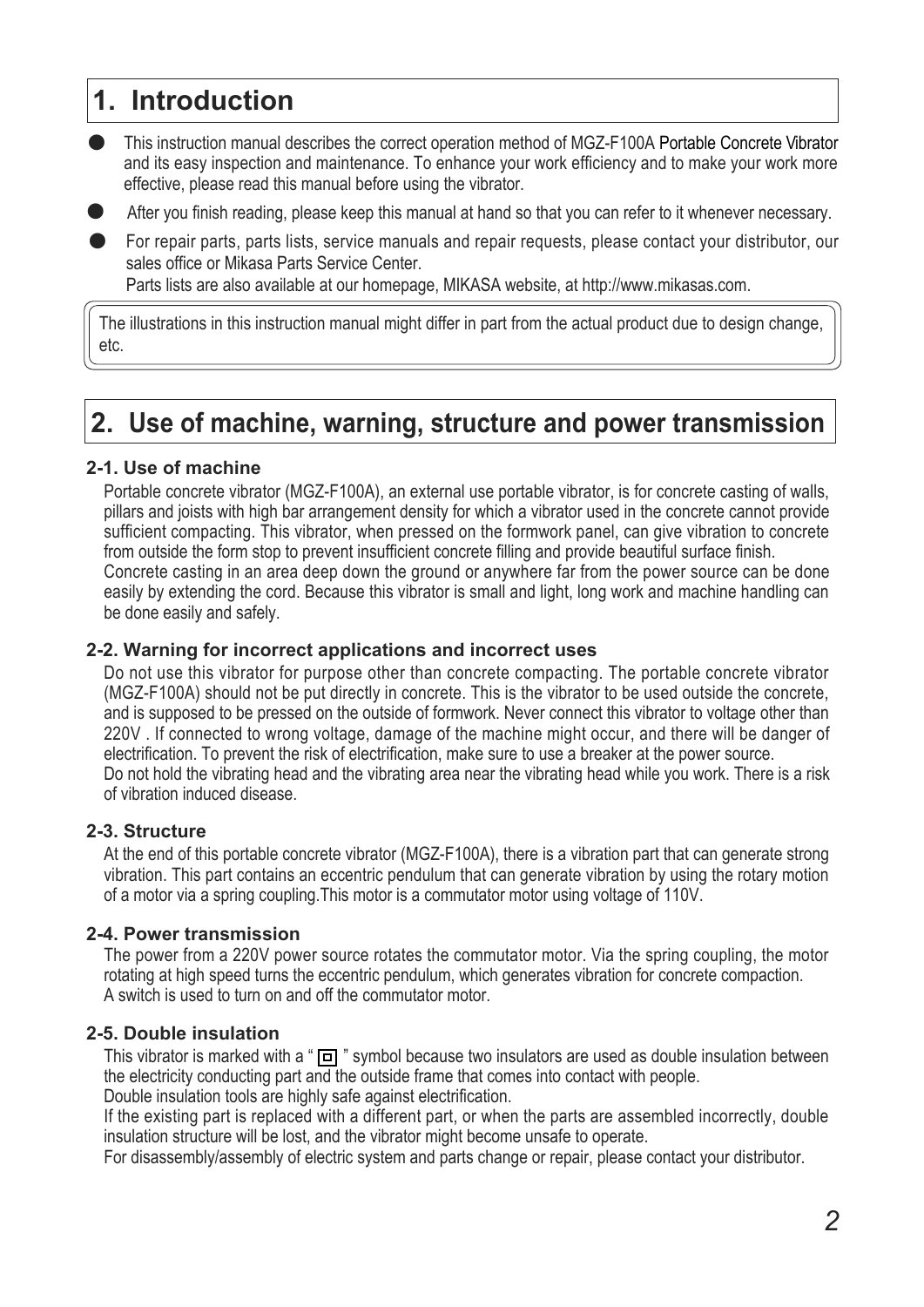# **1. Introduction**

- $\bullet$ This instruction manual describes the correct operation method of MGZ-F100A Portable Concrete Vibrator and its easy inspection and maintenance. To enhance your work efficiency and to make your work more effective, please read this manual before using the vibrator.
- $\bullet$ After you finish reading, please keep this manual at hand so that you can refer to it whenever necessary.
- $\bullet$ For repair parts, parts lists, service manuals and repair requests, please contact your distributor, our sales office or Mikasa Parts Service Center.

Parts lists are also available at our homepage, MIKASA website, at http://www.mikasas.com.

The illustrations in this instruction manual might differ in part from the actual product due to design change, etc.

## **2. Use of machine, warning, structure and power transmission**

#### **2-1. Use of machine**

Portable concrete vibrator (MGZ-F100A), an external use portable vibrator, is for concrete casting of walls, pillars and joists with high bar arrangement density for which a vibrator used in the concrete cannot provide sufficient compacting. This vibrator, when pressed on the formwork panel, can give vibration to concrete from outside the form stop to prevent insufficient concrete filling and provide beautiful surface finish. Concrete casting in an area deep down the ground or anywhere far from the power source can be done easily by extending the cord. Because this vibrator is small and light, long work and machine handling can be done easily and safely.

#### **2-2. Warning for incorrect applications and incorrect uses**

Do not use this vibrator for purpose other than concrete compacting. The portable concrete vibrator (MGZ-F100A) should not be put directly in concrete. This is the vibrator to be used outside the concrete, and is supposed to be pressed on the outside of formwork. Never connect this vibrator to voltage other than 220V . If connected to wrong voltage, damage of the machine might occur, and there will be danger of electrification. To prevent the risk of electrification, make sure to use a breaker at the power source. Do not hold the vibrating head and the vibrating area near the vibrating head while you work. There is a risk of vibration induced disease.

#### **2-3. Structure**

At the end of this portable concrete vibrator (MGZ-F100A), there is a vibration part that can generate strong vibration. This part contains an eccentric pendulum that can generate vibration by using the rotary motion of a motor via a spring coupling.This motor is a commutator motor using voltage of 110V.

#### **2-4. Power transmission**

The power from a 220V power source rotates the commutator motor. Via the spring coupling, the motor rotating at high speed turns the eccentric pendulum, which generates vibration for concrete compaction. A switch is used to turn on and off the commutator motor.

#### **2-5. Double insulation**

This vibrator is marked with a " $\boxed{1}$ " symbol because two insulators are used as double insulation between the electricity conducting part and the outside frame that comes into contact with people.

Double insulation tools are highly safe against electrification.

If the existing part is replaced with a different part, or when the parts are assembled incorrectly, double insulation structure will be lost, and the vibrator might become unsafe to operate.

For disassembly/assembly of electric system and parts change or repair, please contact your distributor.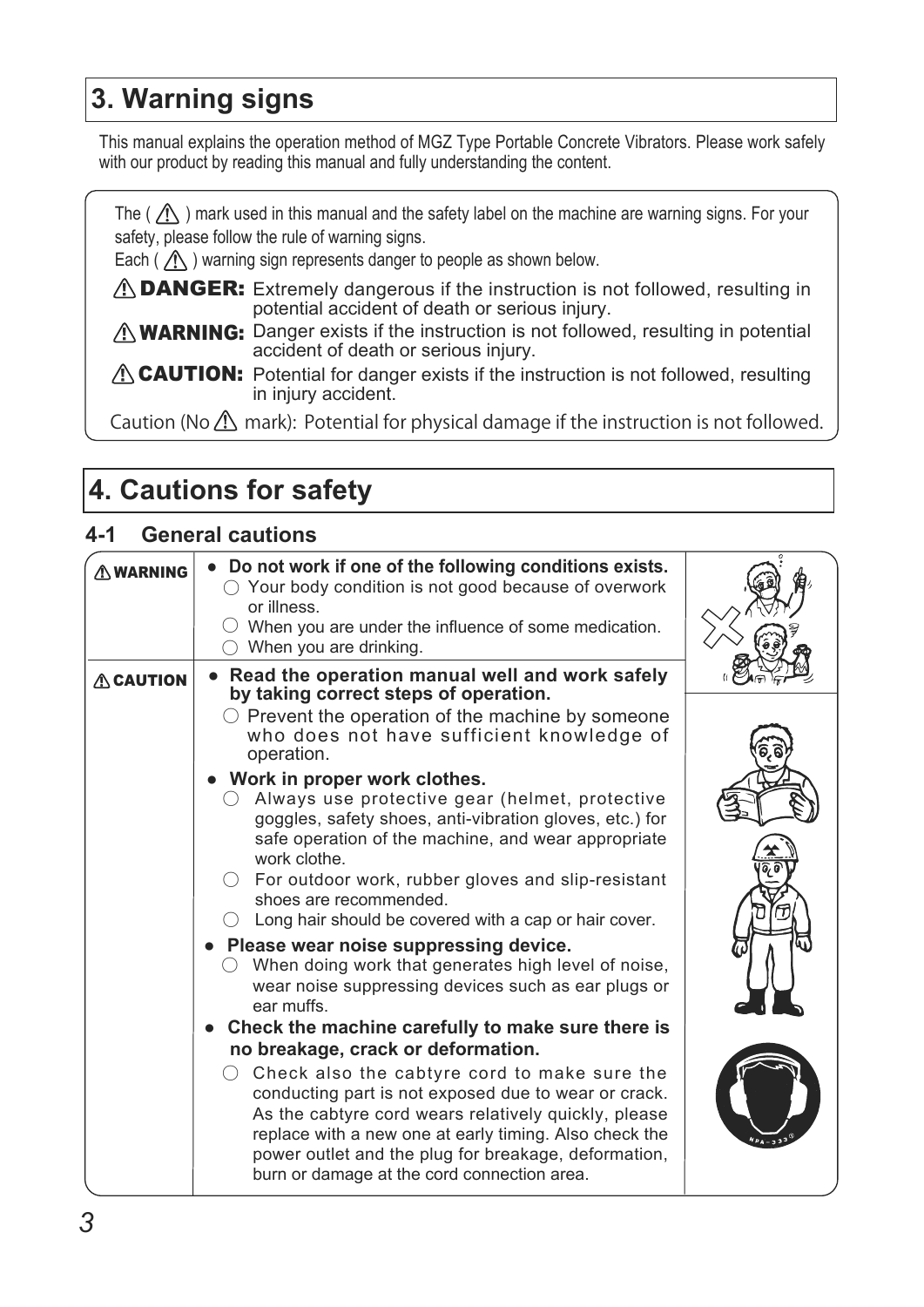# **3. Warning signs**

This manual explains the operation method of MGZ Type Portable Concrete Vibrators. Please work safely with our product by reading this manual and fully understanding the content.

The ( $\bigwedge$ ) mark used in this manual and the safety label on the machine are warning signs. For your safety, please follow the rule of warning signs.

Each ( $\bigwedge$ ) warning sign represents danger to people as shown below.

 $\triangle$  DANGER: Extremely dangerous if the instruction is not followed, resulting in potential accident of death or serious injury.

**NARNING:** Danger exists if the instruction is not followed, resulting in potential accident of death or serious injury.

 $\Lambda$  CAUTION: Potential for danger exists if the instruction is not followed, resulting in injury accident.

Caution (No  $\triangle$ ) mark): Potential for physical damage if the instruction is not followed.

# **4. Cautions for safety**

## **4-1 General cautions**

| $\wedge$ WARNING | • Do not work if one of the following conditions exists.<br>$\bigcirc$ Your body condition is not good because of overwork<br>or illness.<br>When you are under the influence of some medication.<br>When you are drinking.                                                                                                                                                                                        |  |
|------------------|--------------------------------------------------------------------------------------------------------------------------------------------------------------------------------------------------------------------------------------------------------------------------------------------------------------------------------------------------------------------------------------------------------------------|--|
| <b>ACAUTION</b>  | Read the operation manual well and work safely<br>$\bullet$<br>by taking correct steps of operation.<br>$\circlearrowright$ Prevent the operation of the machine by someone<br>who does not have sufficient knowledge of                                                                                                                                                                                           |  |
|                  | operation.<br>• Work in proper work clothes.<br>Always use protective gear (helmet, protective<br>goggles, safety shoes, anti-vibration gloves, etc.) for<br>safe operation of the machine, and wear appropriate<br>work clothe.<br>For outdoor work, rubber gloves and slip-resistant<br>shoes are recommended.<br>Long hair should be covered with a cap or hair cover.<br>Please wear noise suppressing device. |  |
|                  | When doing work that generates high level of noise,<br>wear noise suppressing devices such as ear plugs or<br>ear muffs.<br>Check the machine carefully to make sure there is                                                                                                                                                                                                                                      |  |
|                  | no breakage, crack or deformation.<br>Check also the cabtyre cord to make sure the<br>conducting part is not exposed due to wear or crack.<br>As the cabtyre cord wears relatively quickly, please<br>replace with a new one at early timing. Also check the<br>power outlet and the plug for breakage, deformation,<br>burn or damage at the cord connection area.                                                |  |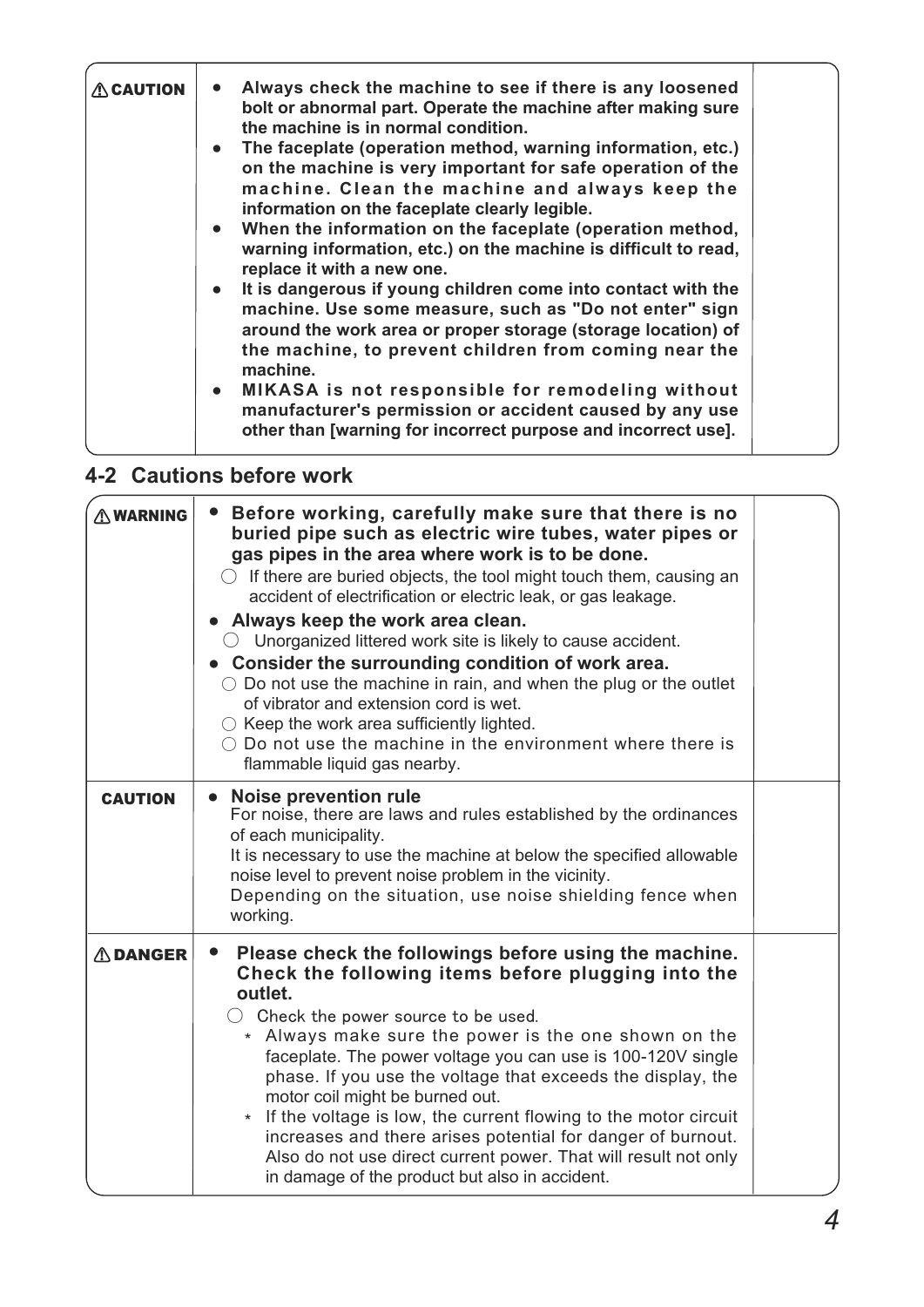| <b>ACAUTION</b> | Always check the machine to see if there is any loosened<br>bolt or abnormal part. Operate the machine after making sure<br>the machine is in normal condition.<br>• The faceplate (operation method, warning information, etc.)<br>on the machine is very important for safe operation of the<br>machine. Clean the machine and always keep the<br>information on the faceplate clearly legible.<br>• When the information on the faceplate (operation method,<br>warning information, etc.) on the machine is difficult to read,<br>replace it with a new one.<br>• It is dangerous if young children come into contact with the<br>machine. Use some measure, such as "Do not enter" sign<br>around the work area or proper storage (storage location) of |  |
|-----------------|--------------------------------------------------------------------------------------------------------------------------------------------------------------------------------------------------------------------------------------------------------------------------------------------------------------------------------------------------------------------------------------------------------------------------------------------------------------------------------------------------------------------------------------------------------------------------------------------------------------------------------------------------------------------------------------------------------------------------------------------------------------|--|
|                 | the machine, to prevent children from coming near the<br>machine.                                                                                                                                                                                                                                                                                                                                                                                                                                                                                                                                                                                                                                                                                            |  |
|                 | • MIKASA is not responsible for remodeling without<br>manufacturer's permission or accident caused by any use<br>other than [warning for incorrect purpose and incorrect use].                                                                                                                                                                                                                                                                                                                                                                                                                                                                                                                                                                               |  |

## **4-2 Cautions before work**

| <b>AWARNING</b> | Before working, carefully make sure that there is no<br>$\bullet$<br>buried pipe such as electric wire tubes, water pipes or<br>gas pipes in the area where work is to be done.<br>$\bigcirc$ If there are buried objects, the tool might touch them, causing an<br>accident of electrification or electric leak, or gas leakage.<br>• Always keep the work area clean.<br>$\circlearrowright$ Unorganized littered work site is likely to cause accident.<br>• Consider the surrounding condition of work area.<br>$\circ$ Do not use the machine in rain, and when the plug or the outlet<br>of vibrator and extension cord is wet.<br>$\circlearrowright$ Keep the work area sufficiently lighted.<br>$\bigcirc$ Do not use the machine in the environment where there is<br>flammable liquid gas nearby. |  |
|-----------------|--------------------------------------------------------------------------------------------------------------------------------------------------------------------------------------------------------------------------------------------------------------------------------------------------------------------------------------------------------------------------------------------------------------------------------------------------------------------------------------------------------------------------------------------------------------------------------------------------------------------------------------------------------------------------------------------------------------------------------------------------------------------------------------------------------------|--|
| <b>CAUTION</b>  | <b>Noise prevention rule</b><br>$\bullet$<br>For noise, there are laws and rules established by the ordinances<br>of each municipality.<br>It is necessary to use the machine at below the specified allowable<br>noise level to prevent noise problem in the vicinity.<br>Depending on the situation, use noise shielding fence when<br>working.                                                                                                                                                                                                                                                                                                                                                                                                                                                            |  |
| <b>ADANGER</b>  | Please check the followings before using the machine.<br>$\bullet$<br>Check the following items before plugging into the<br>outlet.<br>$\bigcirc$ Check the power source to be used.<br>* Always make sure the power is the one shown on the<br>faceplate. The power voltage you can use is 100-120V single<br>phase. If you use the voltage that exceeds the display, the<br>motor coil might be burned out.<br>* If the voltage is low, the current flowing to the motor circuit<br>increases and there arises potential for danger of burnout.<br>Also do not use direct current power. That will result not only<br>in damage of the product but also in accident.                                                                                                                                       |  |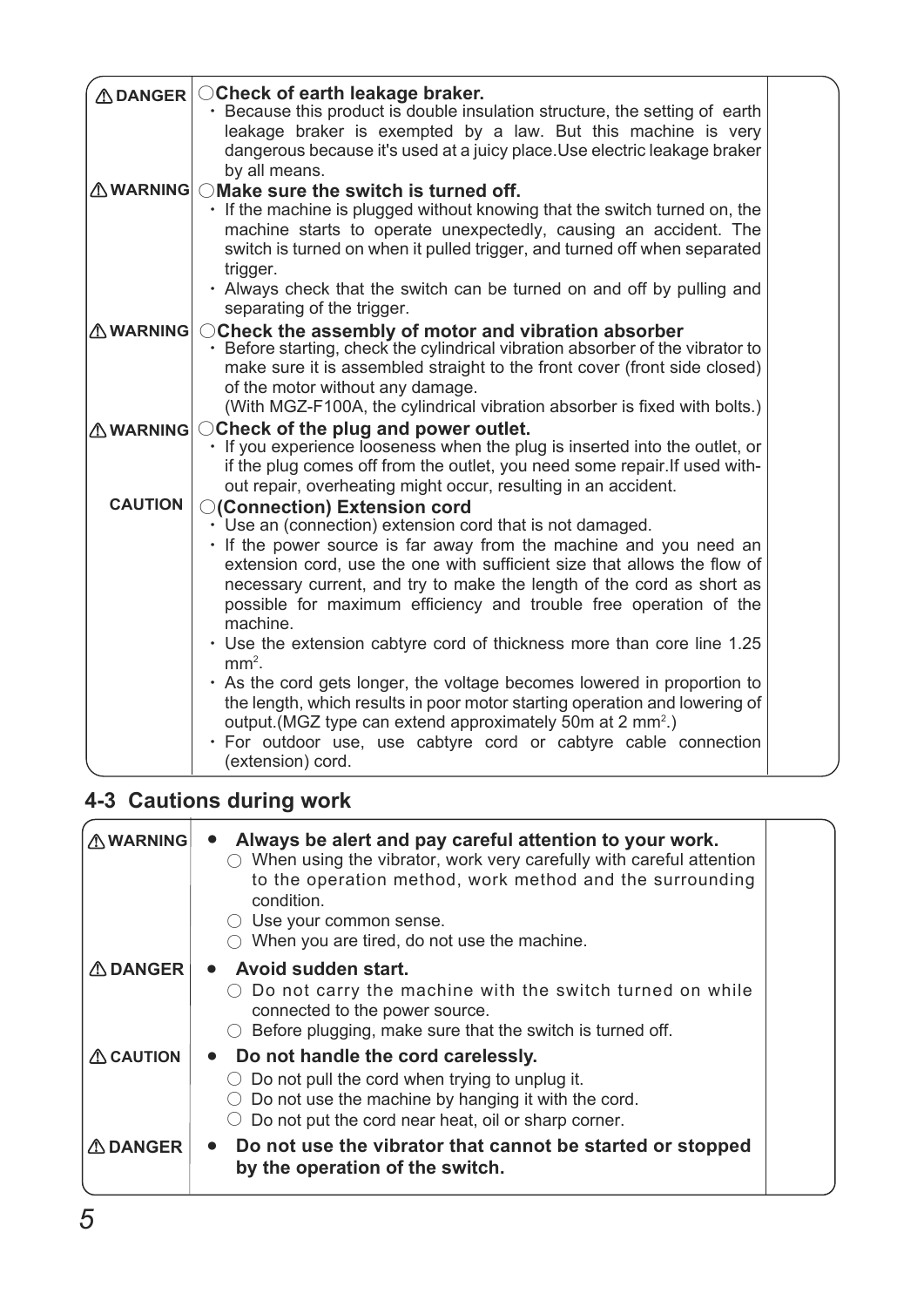| <b>ADANGER</b>  | ○ Check of earth leakage braker.<br>• Because this product is double insulation structure, the setting of earth                        |  |
|-----------------|----------------------------------------------------------------------------------------------------------------------------------------|--|
|                 | leakage braker is exempted by a law. But this machine is very                                                                          |  |
|                 | dangerous because it's used at a juicy place. Use electric leakage braker<br>by all means.                                             |  |
| <b>AWARNING</b> | OMake sure the switch is turned off.                                                                                                   |  |
|                 | · If the machine is plugged without knowing that the switch turned on, the                                                             |  |
|                 | machine starts to operate unexpectedly, causing an accident. The                                                                       |  |
|                 | switch is turned on when it pulled trigger, and turned off when separated                                                              |  |
|                 | trigger.                                                                                                                               |  |
|                 | • Always check that the switch can be turned on and off by pulling and                                                                 |  |
|                 | separating of the trigger.                                                                                                             |  |
| <b>AWARNING</b> | ○ Check the assembly of motor and vibration absorber<br>• Before starting, check the cylindrical vibration absorber of the vibrator to |  |
|                 | make sure it is assembled straight to the front cover (front side closed)                                                              |  |
|                 | of the motor without any damage.                                                                                                       |  |
|                 | (With MGZ-F100A, the cylindrical vibration absorber is fixed with bolts.)                                                              |  |
| <b>AWARNING</b> | ○ Check of the plug and power outlet.                                                                                                  |  |
|                 | • If you experience looseness when the plug is inserted into the outlet, or                                                            |  |
|                 | if the plug comes off from the outlet, you need some repair. If used with-                                                             |  |
| <b>CAUTION</b>  | out repair, overheating might occur, resulting in an accident.                                                                         |  |
|                 | ○(Connection) Extension cord                                                                                                           |  |
|                 | $\cdot$ Use an (connection) extension cord that is not damaged.<br>. If the power source is far away from the machine and you need an  |  |
|                 | extension cord, use the one with sufficient size that allows the flow of                                                               |  |
|                 | necessary current, and try to make the length of the cord as short as                                                                  |  |
|                 | possible for maximum efficiency and trouble free operation of the                                                                      |  |
|                 | machine.                                                                                                                               |  |
|                 | • Use the extension cabtyre cord of thickness more than core line 1.25<br>$mm2$ .                                                      |  |
|                 | • As the cord gets longer, the voltage becomes lowered in proportion to                                                                |  |
|                 | the length, which results in poor motor starting operation and lowering of                                                             |  |
|                 | output. (MGZ type can extend approximately 50m at 2 mm <sup>2</sup> .)                                                                 |  |
|                 | · For outdoor use, use cabtyre cord or cabtyre cable connection                                                                        |  |
|                 | (extension) cord.                                                                                                                      |  |

## **4-3 Cautions during work**

| <b>AWARNING</b>     | Always be alert and pay careful attention to your work.<br>$\bullet$<br>When using the vibrator, work very carefully with careful attention<br>to the operation method, work method and the surrounding<br>condition.<br>$\circlearrowright$ Use your common sense.<br>When you are tired, do not use the machine. |  |
|---------------------|--------------------------------------------------------------------------------------------------------------------------------------------------------------------------------------------------------------------------------------------------------------------------------------------------------------------|--|
| $\triangle$ DANGER  | Avoid sudden start.<br>$\bullet$<br>Do not carry the machine with the switch turned on while<br>connected to the power source.<br>Before plugging, make sure that the switch is turned off.                                                                                                                        |  |
| $\triangle$ CAUTION | Do not handle the cord carelessly.<br>$\bullet$<br>Do not pull the cord when trying to unplug it.<br>Do not use the machine by hanging it with the cord.<br>Do not put the cord near heat, oil or sharp corner.                                                                                                    |  |
| <b>ADANGER</b>      | Do not use the vibrator that cannot be started or stopped<br>$\bullet$<br>by the operation of the switch.                                                                                                                                                                                                          |  |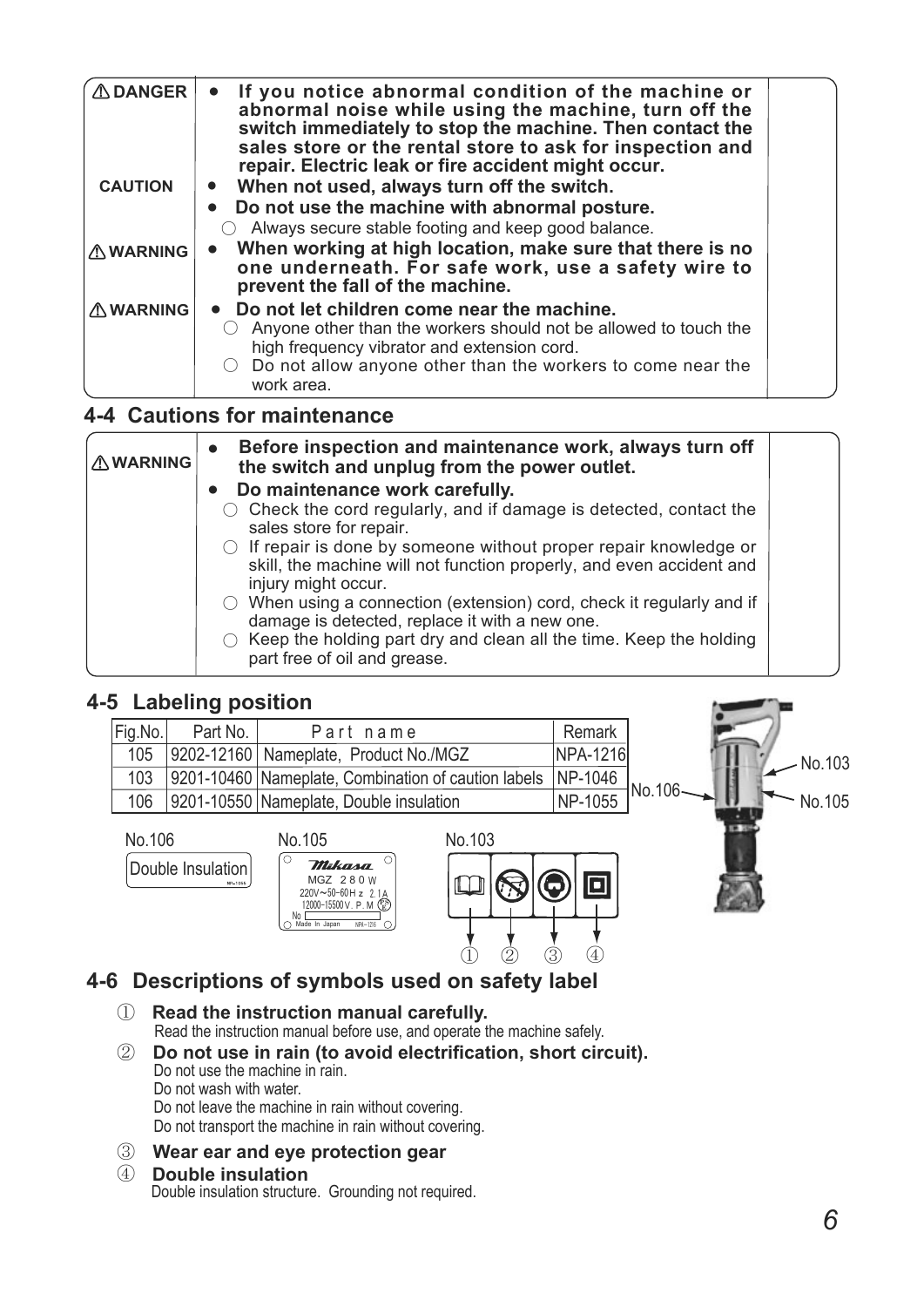| $\triangle$ DANGER | If you notice abnormal condition of the machine or<br>$\bullet$<br>abnormal noise while using the machine, turn off the<br>switch immediately to stop the machine. Then contact the<br>sales store or the rental store to ask for inspection and<br>repair. Electric leak or fire accident might occur. |  |
|--------------------|---------------------------------------------------------------------------------------------------------------------------------------------------------------------------------------------------------------------------------------------------------------------------------------------------------|--|
| <b>CAUTION</b>     | When not used, always turn off the switch.<br>Do not use the machine with abnormal posture.<br>Always secure stable footing and keep good balance.                                                                                                                                                      |  |
| <b>AWARNING</b>    | When working at high location, make sure that there is no<br>one underneath. For safe work, use a safety wire to<br>prevent the fall of the machine.                                                                                                                                                    |  |
| <b>∆WARNING</b>    | • Do not let children come near the machine.<br>Anyone other than the workers should not be allowed to touch the<br>high frequency vibrator and extension cord.<br>Do not allow anyone other than the workers to come near the<br>work area.                                                            |  |

### **4-4 Cautions for maintenance**

| <b>△ WARNING</b> | Before inspection and maintenance work, always turn off<br>$\bullet$<br>the switch and unplug from the power outlet.                                                   |  |
|------------------|------------------------------------------------------------------------------------------------------------------------------------------------------------------------|--|
|                  | • Do maintenance work carefully.                                                                                                                                       |  |
|                  | Check the cord regularly, and if damage is detected, contact the<br>sales store for repair.                                                                            |  |
|                  | $\circ$ If repair is done by someone without proper repair knowledge or<br>skill, the machine will not function properly, and even accident and<br>injury might occur. |  |
|                  | $\circlearrowright$ When using a connection (extension) cord, check it regularly and if<br>damage is detected, replace it with a new one.                              |  |
|                  | Keep the holding part dry and clean all the time. Keep the holding<br>part free of oil and grease.                                                                     |  |

## **4-5** 䚷㻌**Labeling position**

| Fig.No. | Part No. | Part name                                           | Remark   |          |
|---------|----------|-----------------------------------------------------|----------|----------|
| 105     |          | 9202-12160   Nameplate, Product No./MGZ             | NPA-1216 | No.103   |
| 103     |          | 9201-10460 Nameplate, Combination of caution labels | NP-1046  | INo.106· |
| 106     |          | 9201-10550 Nameplate, Double insulation             | NP-1055  | No.105   |
|         |          |                                                     |          |          |



## **4-6** 䚷㻌**Descriptions of symbols used on safety label**

- $\textcircled{\scriptsize{1}}$ **Read the instruction manual carefully.**  Read the instruction manual before use, and operate the machine safely.
- $(2)$ **Do not use in rain (to avoid electrification, short circuit).**  Do not use the machine in rain. Do not wash with water. Do not leave the machine in rain without covering. Do not transport the machine in rain without covering.
- 䐡䚷㻌 **Wear ear and eye protection gear**

#### $\circ$ **Double insulation**  Double insulation structure. Grounding not required.

**STATE OF BUILDING**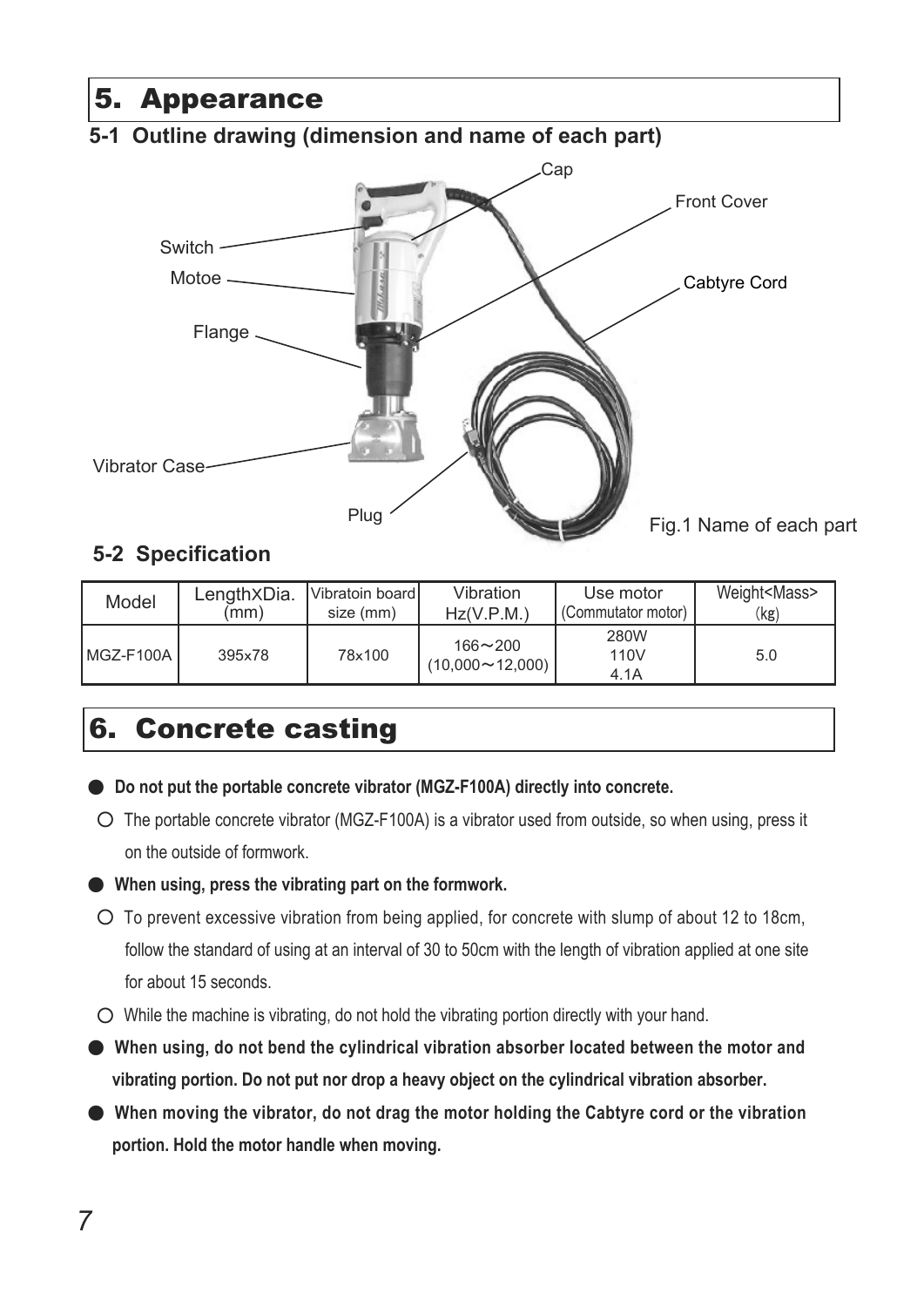# 5. Appearance

## **5-1 Outline drawing (dimension and name of each part)**



## **5-2 Specification**

| Model         | Length <sub>XDia</sub> . | Vibratoin board | Vibration                             | Use motor            | Weight <mass></mass> |
|---------------|--------------------------|-----------------|---------------------------------------|----------------------|----------------------|
|               | (mm                      | size (mm)       | Hz(V.P.M.)                            | (Commutator motor)   | (kg)                 |
| l MGZ-F100A l | 395x78                   | 78×100          | $166 - 200$<br>$(10,000 \sim 12,000)$ | 280W<br>110V<br>4.1A | 5.0                  |

# 6. Concrete casting

- Do not put the portable concrete vibrator (MGZ-F100A) directly into concrete.
- $\circ$  The portable concrete vibrator (MGZ-F100A) is a vibrator used from outside, so when using, press it on the outside of formwork.

#### ە**When using, press the vibrating part on the formwork.**

- $\circ$  To prevent excessive vibration from being applied, for concrete with slump of about 12 to 18cm, follow the standard of using at an interval of 30 to 50cm with the length of vibration applied at one site for about 15 seconds.
- $\circlearrowright$  While the machine is vibrating, do not hold the vibrating portion directly with your hand.
- ە**When using, do not bend the cylindrical vibration absorber located between the motor and vibrating portion. Do not put nor drop a heavy object on the cylindrical vibration absorber.**
- ە**When moving the vibrator, do not drag the motor holding the Cabtyre cord or the vibration portion. Hold the motor handle when moving.**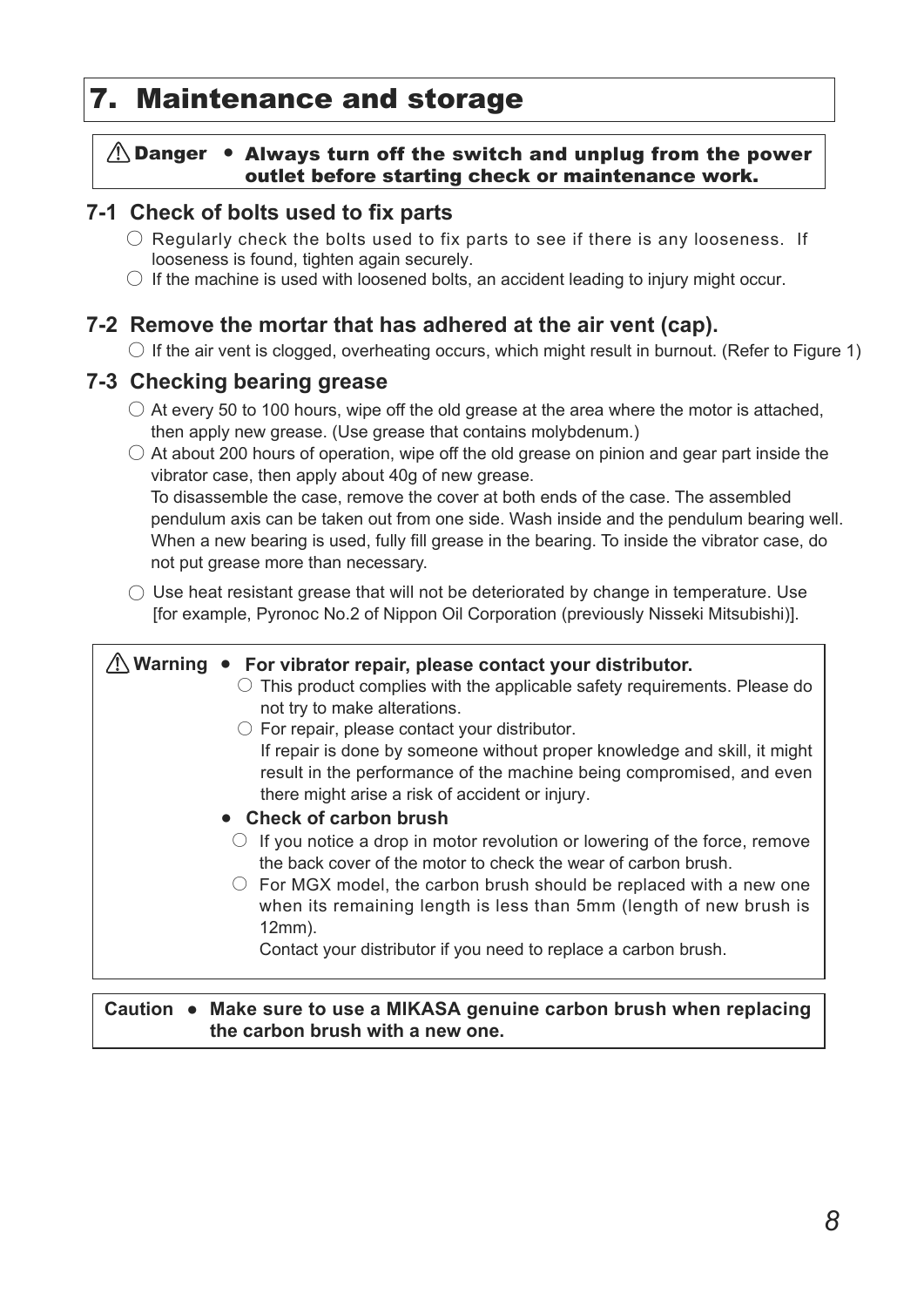# 7. Maintenance and storage

#### $\bigwedge$  Danger • Always turn off the switch and unplug from the power outlet before starting check or maintenance work.

## **7-1 Check of bolts used to fix parts**

- $\bigcirc$  Regularly check the bolts used to fix parts to see if there is any looseness. If looseness is found, tighten again securely.
- $\bigcirc$  If the machine is used with loosened bolts, an accident leading to injury might occur.

## **7-2 Remove the mortar that has adhered at the air vent (cap).**

 $\bigcirc$  If the air vent is clogged, overheating occurs, which might result in burnout. (Refer to Figure 1)

### **7-3 Checking bearing grease**

- $\bigcirc$  At every 50 to 100 hours, wipe off the old grease at the area where the motor is attached, then apply new grease. (Use grease that contains molybdenum.)
- $\bigcirc$  At about 200 hours of operation, wipe off the old grease on pinion and gear part inside the vibrator case, then apply about 40g of new grease.

 To disassemble the case, remove the cover at both ends of the case. The assembled pendulum axis can be taken out from one side. Wash inside and the pendulum bearing well. When a new bearing is used, fully fill grease in the bearing. To inside the vibrator case, do not put grease more than necessary.

 $\bigcirc$  Use heat resistant grease that will not be deteriorated by change in temperature. Use [for example, Pyronoc No.2 of Nippon Oil Corporation (previously Nisseki Mitsubishi)].

#### 䟿㻌**Warning** ●䚷㻌 **For vibrator repair, please contact your distributor.**   $\circ$  This product complies with the applicable safety requirements. Please do  $\circlearrowright$  For repair, please contact your distributor. ●䚷㻌 **Check of carbon brush**   $\circ$  If you notice a drop in motor revolution or lowering of the force, remove  $\circlearrowright$  For MGX model, the carbon brush should be replaced with a new one not try to make alterations. If repair is done by someone without proper knowledge and skill, it might result in the performance of the machine being compromised, and even there might arise a risk of accident or injury. the back cover of the motor to check the wear of carbon brush. when its remaining length is less than 5mm (length of new brush is 12mm). Contact your distributor if you need to replace a carbon brush.

#### Caution ● Make sure to use a MIKASA genuine carbon brush when replacing **the carbon brush with a new one.**